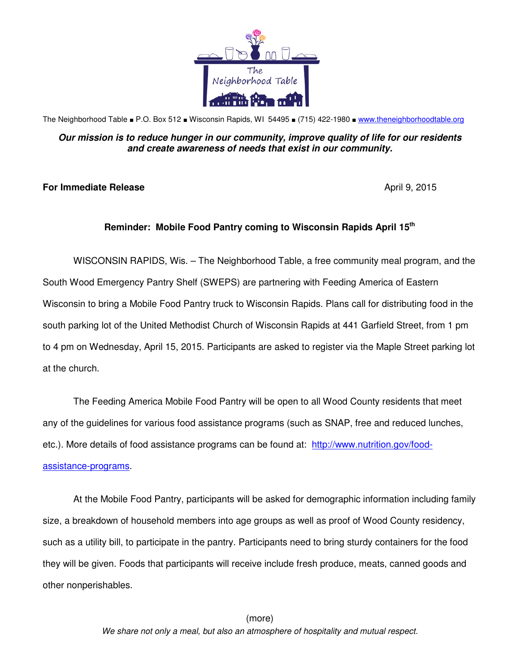

The Neighborhood Table ■ P.O. Box 512 ■ Wisconsin Rapids, WI 54495 ■ (715) 422-1980 ■ www.theneighborhoodtable.org

## **Our mission is to reduce hunger in our community, improve quality of life for our residents and create awareness of needs that exist in our community.**

## **For Immediate Release April 9, 2015**

## **Reminder: Mobile Food Pantry coming to Wisconsin Rapids April 15th**

WISCONSIN RAPIDS, Wis. – The Neighborhood Table, a free community meal program, and the South Wood Emergency Pantry Shelf (SWEPS) are partnering with Feeding America of Eastern Wisconsin to bring a Mobile Food Pantry truck to Wisconsin Rapids. Plans call for distributing food in the south parking lot of the United Methodist Church of Wisconsin Rapids at 441 Garfield Street, from 1 pm to 4 pm on Wednesday, April 15, 2015. Participants are asked to register via the Maple Street parking lot at the church.

The Feeding America Mobile Food Pantry will be open to all Wood County residents that meet any of the guidelines for various food assistance programs (such as SNAP, free and reduced lunches, etc.). More details of food assistance programs can be found at: http://www.nutrition.gov/foodassistance-programs.

At the Mobile Food Pantry, participants will be asked for demographic information including family size, a breakdown of household members into age groups as well as proof of Wood County residency, such as a utility bill, to participate in the pantry. Participants need to bring sturdy containers for the food they will be given. Foods that participants will receive include fresh produce, meats, canned goods and other nonperishables.